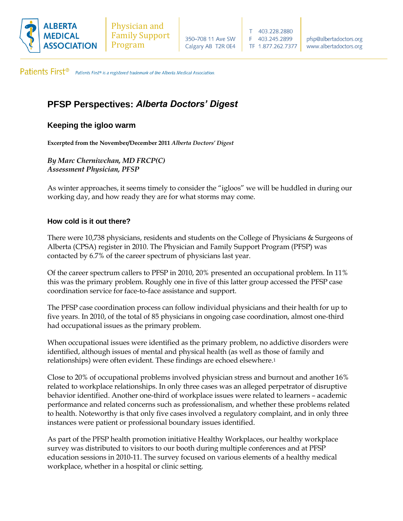

Patients First<sup>®</sup> Patients First® is a registered trademark of the Alberta Medical Association.

# **PFSP Perspectives:** *Alberta Doctors' Digest*

## **Keeping the igloo warm**

**Excerpted from the November/December 2011** *Alberta Doctors' Digest*

*By Marc Cherniwchan, MD FRCP(C) Assessment Physician, PFSP*

As winter approaches, it seems timely to consider the "igloos" we will be huddled in during our working day, and how ready they are for what storms may come.

#### **How cold is it out there?**

There were 10,738 physicians, residents and students on the College of Physicians & Surgeons of Alberta (CPSA) register in 2010. The Physician and Family Support Program (PFSP) was contacted by 6.7% of the career spectrum of physicians last year.

Of the career spectrum callers to PFSP in 2010, 20% presented an occupational problem. In 11% this was the primary problem. Roughly one in five of this latter group accessed the PFSP case coordination service for face-to-face assistance and support.

The PFSP case coordination process can follow individual physicians and their health for up to five years. In 2010, of the total of 85 physicians in ongoing case coordination, almost one-third had occupational issues as the primary problem.

When occupational issues were identified as the primary problem, no addictive disorders were identified, although issues of mental and physical health (as well as those of family and relationships) were often evident. These findings are echoed elsewhere.<sup>1</sup>

Close to 20% of occupational problems involved physician stress and burnout and another 16% related to workplace relationships. In only three cases was an alleged perpetrator of disruptive behavior identified. Another one-third of workplace issues were related to learners – academic performance and related concerns such as professionalism, and whether these problems related to health. Noteworthy is that only five cases involved a regulatory complaint, and in only three instances were patient or professional boundary issues identified.

As part of the PFSP health promotion initiative Healthy Workplaces, our healthy workplace survey was distributed to visitors to our booth during multiple conferences and at PFSP education sessions in 2010-11. The survey focused on various elements of a healthy medical workplace, whether in a hospital or clinic setting.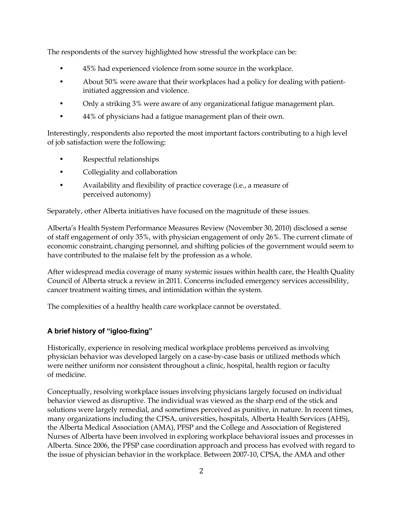The respondents of the survey highlighted how stressful the workplace can be:

- 45% had experienced violence from some source in the workplace.
- About 50% were aware that their workplaces had a policy for dealing with patientinitiated aggression and violence.
- Only a striking 3% were aware of any organizational fatigue management plan.
- 44% of physicians had a fatigue management plan of their own.

Interestingly, respondents also reported the most important factors contributing to a high level of job satisfaction were the following:

- Respectful relationships
- Collegiality and collaboration
- Availability and flexibility of practice coverage (i.e., a measure of perceived autonomy)

Separately, other Alberta initiatives have focused on the magnitude of these issues.

Alberta's Health System Performance Measures Review (November 30, 2010) disclosed a sense of staff engagement of only 35%, with physician engagement of only 26%. The current climate of economic constraint, changing personnel, and shifting policies of the government would seem to have contributed to the malaise felt by the profession as a whole.

After widespread media coverage of many systemic issues within health care, the Health Quality Council of Alberta struck a review in 2011. Concerns included emergency services accessibility, cancer treatment waiting times, and intimidation within the system.

The complexities of a healthy health care workplace cannot be overstated.

#### **A brief history of "igloo-fixing"**

Historically, experience in resolving medical workplace problems perceived as involving physician behavior was developed largely on a case-by-case basis or utilized methods which were neither uniform nor consistent throughout a clinic, hospital, health region or faculty of medicine.

Conceptually, resolving workplace issues involving physicians largely focused on individual behavior viewed as disruptive. The individual was viewed as the sharp end of the stick and solutions were largely remedial, and sometimes perceived as punitive, in nature. In recent times, many organizations including the CPSA, universities, hospitals, Alberta Health Services (AHS), the Alberta Medical Association (AMA), PFSP and the College and Association of Registered Nurses of Alberta have been involved in exploring workplace behavioral issues and processes in Alberta. Since 2006, the PFSP case coordination approach and process has evolved with regard to the issue of physician behavior in the workplace. Between 2007-10, CPSA, the AMA and other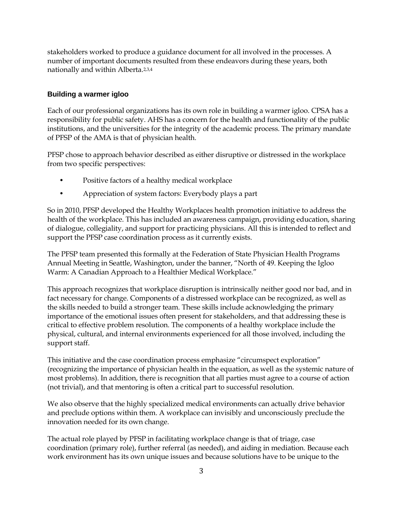stakeholders worked to produce a guidance document for all involved in the processes. A number of important documents resulted from these endeavors during these years, both nationally and within Alberta.2,3,4

#### **Building a warmer igloo**

Each of our professional organizations has its own role in building a warmer igloo. CPSA has a responsibility for public safety. AHS has a concern for the health and functionality of the public institutions, and the universities for the integrity of the academic process. The primary mandate of PFSP of the AMA is that of physician health.

PFSP chose to approach behavior described as either disruptive or distressed in the workplace from two specific perspectives:

- Positive factors of a healthy medical workplace
- Appreciation of system factors: Everybody plays a part

So in 2010, PFSP developed the Healthy Workplaces health promotion initiative to address the health of the workplace. This has included an awareness campaign, providing education, sharing of dialogue, collegiality, and support for practicing physicians. All this is intended to reflect and support the PFSP case coordination process as it currently exists.

The PFSP team presented this formally at the Federation of State Physician Health Programs Annual Meeting in Seattle, Washington, under the banner, "North of 49. Keeping the Igloo Warm: A Canadian Approach to a Healthier Medical Workplace."

This approach recognizes that workplace disruption is intrinsically neither good nor bad, and in fact necessary for change. Components of a distressed workplace can be recognized, as well as the skills needed to build a stronger team. These skills include acknowledging the primary importance of the emotional issues often present for stakeholders, and that addressing these is critical to effective problem resolution. The components of a healthy workplace include the physical, cultural, and internal environments experienced for all those involved, including the support staff.

This initiative and the case coordination process emphasize "circumspect exploration" (recognizing the importance of physician health in the equation, as well as the systemic nature of most problems). In addition, there is recognition that all parties must agree to a course of action (not trivial), and that mentoring is often a critical part to successful resolution.

We also observe that the highly specialized medical environments can actually drive behavior and preclude options within them. A workplace can invisibly and unconsciously preclude the innovation needed for its own change.

The actual role played by PFSP in facilitating workplace change is that of triage, case coordination (primary role), further referral (as needed), and aiding in mediation. Because each work environment has its own unique issues and because solutions have to be unique to the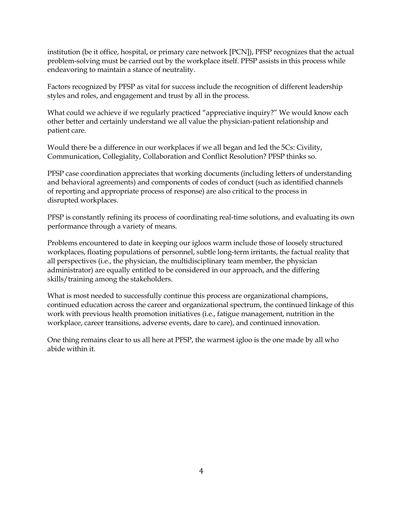institution (be it office, hospital, or primary care network [PCN]), PFSP recognizes that the actual problem-solving must be carried out by the workplace itself. PFSP assists in this process while endeavoring to maintain a stance of neutrality.

Factors recognized by PFSP as vital for success include the recognition of different leadership styles and roles, and engagement and trust by all in the process.

What could we achieve if we regularly practiced "appreciative inquiry?" We would know each other better and certainly understand we all value the physician-patient relationship and patient care.

Would there be a difference in our workplaces if we all began and led the 5Cs: Civility, Communication, Collegiality, Collaboration and Conflict Resolution? PFSP thinks so.

PFSP case coordination appreciates that working documents (including letters of understanding and behavioral agreements) and components of codes of conduct (such as identified channels of reporting and appropriate process of response) are also critical to the process in disrupted workplaces.

PFSP is constantly refining its process of coordinating real-time solutions, and evaluating its own performance through a variety of means.

Problems encountered to date in keeping our igloos warm include those of loosely structured workplaces, floating populations of personnel, subtle long-term irritants, the factual reality that all perspectives (i.e., the physician, the multidisciplinary team member, the physician administrator) are equally entitled to be considered in our approach, and the differing skills/training among the stakeholders.

What is most needed to successfully continue this process are organizational champions, continued education across the career and organizational spectrum, the continued linkage of this work with previous health promotion initiatives (i.e., fatigue management, nutrition in the workplace, career transitions, adverse events, dare to care), and continued innovation.

One thing remains clear to us all here at PFSP, the warmest igloo is the one made by all who abide within it.